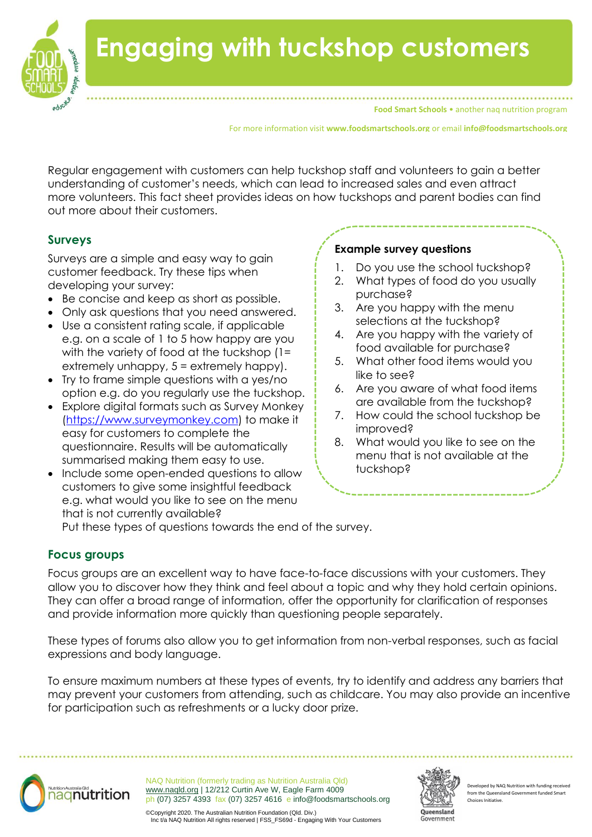

# **Engaging with tuckshop customers**

**Food Smart Schools • another nag nutrition program** 

For more information visit **www.foodsmartschools.org** or email **info@foodsmartschools.org**

Regular engagement with customers can help tuckshop staff and volunteers to gain a better understanding of customer's needs, which can lead to increased sales and even attract more volunteers. This fact sheet provides ideas on how tuckshops and parent bodies can find out more about their customers.

## **Surveys**

Surveys are a simple and easy way to gain customer feedback. Try these tips when developing your survey:

- Be concise and keep as short as possible.
- Only ask questions that you need answered.
- Use a consistent rating scale, if applicable e.g. on a scale of 1 to 5 how happy are you with the variety of food at the tuckshop (1= extremely unhappy, 5 = extremely happy).
- Try to frame simple questions with a yes/no option e.g. do you regularly use the tuckshop.
- Explore digital formats such as Survey Monkey [\(https://www.surveymonkey.com\)](https://www.surveymonkey.com/) to make it easy for customers to complete the questionnaire. Results will be automatically summarised making them easy to use.
- Include some open-ended questions to allow customers to give some insightful feedback e.g. what would you like to see on the menu that is not currently available?

#### **Example survey questions**

- 1. Do you use the school tuckshop?
- 2. What types of food do you usually purchase?
- 3. Are you happy with the menu selections at the tuckshop?
- 4. Are you happy with the variety of food available for purchase?
- 5. What other food items would you like to see?
- 6. Are you aware of what food items are available from the tuckshop?
- 7. How could the school tuckshop be improved?
- 8. What would you like to see on the menu that is not available at the tuckshop?

Put these types of questions towards the end of the survey.

## **Focus groups**

Focus groups are an excellent way to have face-to-face discussions with your customers. They allow you to discover how they think and feel about a topic and why they hold certain opinions. They can offer a broad range of information, offer the opportunity for clarification of responses and provide information more quickly than questioning people separately.

These types of forums also allow you to get information from non-verbal responses, such as facial expressions and body language.

To ensure maximum numbers at these types of events, try to identify and address any barriers that may prevent your customers from attending, such as childcare. You may also provide an incentive for participation such as refreshments or a lucky door prize.



NAQ Nutrition (formerly trading as Nutrition Australia Qld) [www.naqld.org](http://www.naqld.org/) | 12/212 Curtin Ave W, Eagle Farm 4009 ph (07) 3257 4393 fax (07) 3257 4616 e info@foodsmartschools.org



Developed by NAQ Nutrition with funding rec from the Queensland Go Choices Initiative.